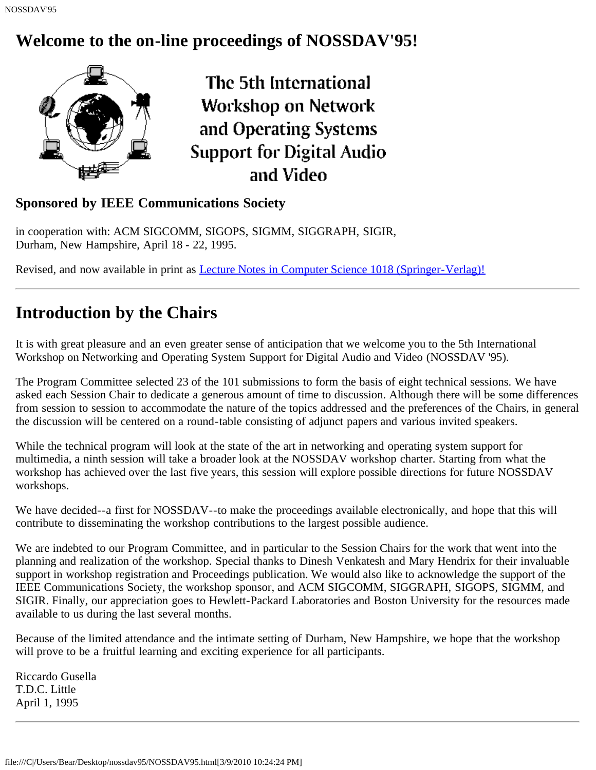# <span id="page-0-0"></span>**Welcome to the on-line proceedings of NOSSDAV'95!**



The 5th International **Workshop on Network** and Operating Systems **Support for Digital Audio** and Video

#### **Sponsored by IEEE Communications Society**

in cooperation with: ACM SIGCOMM, SIGOPS, SIGMM, SIGGRAPH, SIGIR, Durham, New Hampshire, April 18 - 22, 1995.

Revised, and now available in print as **[Lecture Notes in Computer Science 1018 \(Springer-Verlag\)!](#page-2-0)** 

# **Introduction by the Chairs**

It is with great pleasure and an even greater sense of anticipation that we welcome you to the 5th International Workshop on Networking and Operating System Support for Digital Audio and Video (NOSSDAV '95).

The Program Committee selected 23 of the 101 submissions to form the basis of eight technical sessions. We have asked each Session Chair to dedicate a generous amount of time to discussion. Although there will be some differences from session to session to accommodate the nature of the topics addressed and the preferences of the Chairs, in general the discussion will be centered on a round-table consisting of adjunct papers and various invited speakers.

While the technical program will look at the state of the art in networking and operating system support for multimedia, a ninth session will take a broader look at the NOSSDAV workshop charter. Starting from what the workshop has achieved over the last five years, this session will explore possible directions for future NOSSDAV workshops.

We have decided--a first for NOSSDAV--to make the proceedings available electronically, and hope that this will contribute to disseminating the workshop contributions to the largest possible audience.

We are indebted to our Program Committee, and in particular to the Session Chairs for the work that went into the planning and realization of the workshop. Special thanks to Dinesh Venkatesh and Mary Hendrix for their invaluable support in workshop registration and Proceedings publication. We would also like to acknowledge the support of the IEEE Communications Society, the workshop sponsor, and ACM SIGCOMM, SIGGRAPH, SIGOPS, SIGMM, and SIGIR. Finally, our appreciation goes to Hewlett-Packard Laboratories and Boston University for the resources made available to us during the last several months.

Because of the limited attendance and the intimate setting of Durham, New Hampshire, we hope that the workshop will prove to be a fruitful learning and exciting experience for all participants.

Riccardo Gusella T.D.C. Little April 1, 1995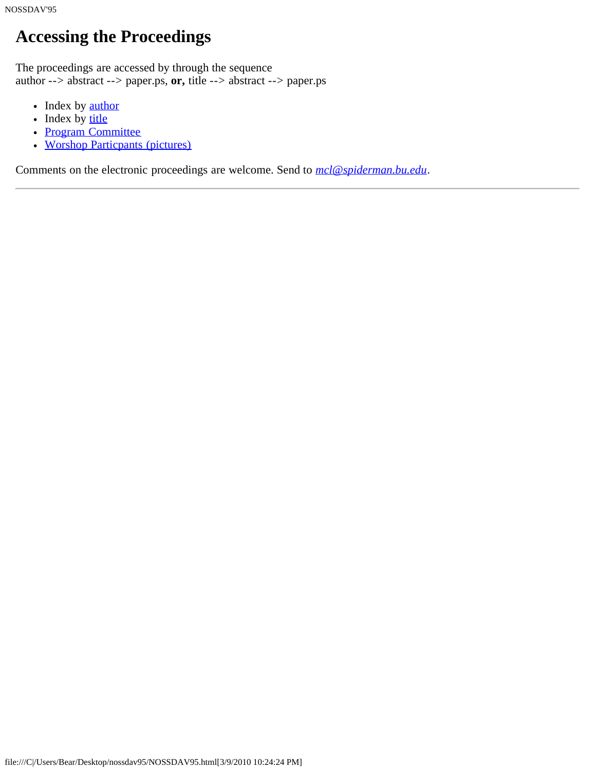# **Accessing the Proceedings**

The proceedings are accessed by through the sequence author --> abstract --> paper.ps, **or,** title --> abstract --> paper.ps

- Index by **<u>[author](#page-3-0)</u>**
- Index by [title](#page-5-0)
- [Program Committee](#page-7-0)
- [Worshop Particpants \(pictures\)](#page-8-0)

Comments on the electronic proceedings are welcome. Send to *[mcl@spiderman.bu.edu](mailto:mcl@spiderman.bu.edu)*.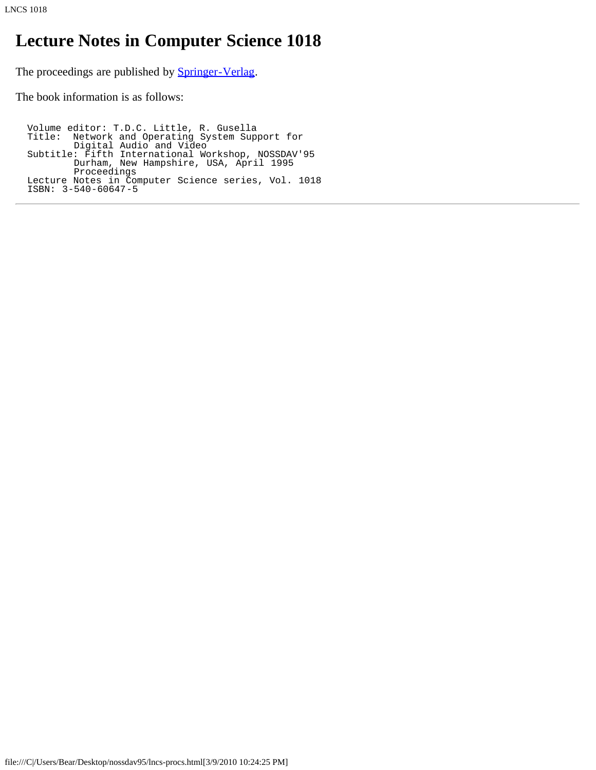## <span id="page-2-0"></span>**Lecture Notes in Computer Science 1018**

The proceedings are published by **Springer-Verlag**.

The book information is as follows:

 Volume editor: T.D.C. Little, R. Gusella Title: Network and Operating System Support for Digital Audio and Video Subtitle: Fifth International Workshop, NOSSDAV'95 Durham, New Hampshire, USA, April 1995 Proceedings Lecture Notes in Computer Science series, Vol. 1018 ISBN: 3-540-60647-5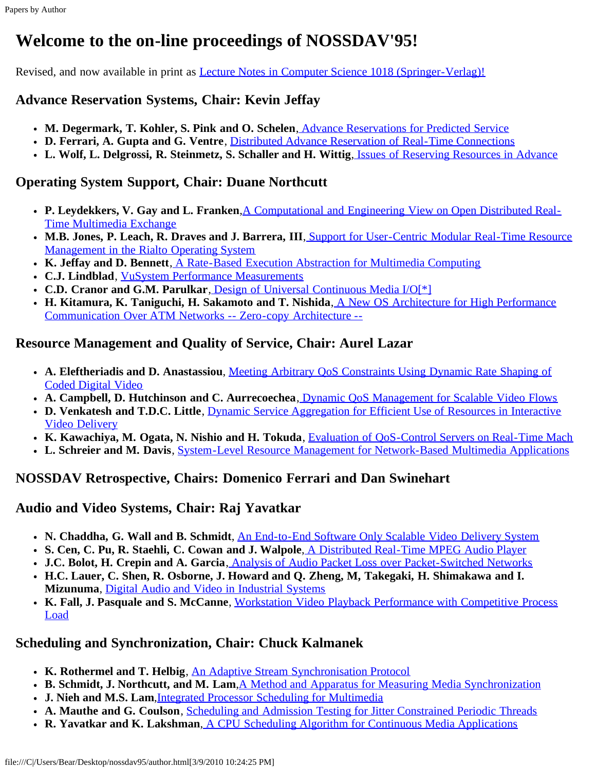# <span id="page-3-0"></span>**Welcome to the on-line proceedings of NOSSDAV'95!**

Revised, and now available in print as [Lecture Notes in Computer Science 1018 \(Springer-Verlag\)!](#page-2-0)

### **Advance Reservation Systems, Chair: Kevin Jeffay**

- **M. Degermark, T. Kohler, S. Pink and O. Schelen**, [Advance Reservations for Predicted Service](#page-13-0)
- **D. Ferrari, A. Gupta and G. Ventre**, [Distributed Advance Reservation of Real-Time Connections](#page-9-0)
- **L. Wolf, L. Delgrossi, R. Steinmetz, S. Schaller and H. Wittig**, [Issues of Reserving Resources in Advance](#page-10-0)

### **Operating System Support, Chair: Duane Northcutt**

- **P. Leydekkers, V. Gay and L. Franken, A Computational and Engineering View on Open Distributed Real-**[Time Multimedia Exchange](#page-16-0)
- **M.B. Jones, P. Leach, R. Draves and J. Barrera, III**, [Support for User-Centric Modular Real-Time Resource](#page-13-1) [Management in the Rialto Operating System](#page-13-1)
- **K. Jeffay and D. Bennett**[, A Rate-Based Execution Abstraction for Multimedia Computing](#page-16-1)
- **C.J. Lindblad**, [VuSystem Performance Measurements](#page-12-0)
- **C.D. Cranor and G.M. Parulkar**, [Design of Universal Continuous Media I/O\[\\*\]](#page-15-0)
- **H. Kitamura, K. Taniguchi, H. Sakamoto and T. Nishida**, [A New OS Architecture for High Performance](#page-12-1) [Communication Over ATM Networks -- Zero-copy Architecture --](#page-12-1)

### **Resource Management and Quality of Service, Chair: Aurel Lazar**

- **A. Eleftheriadis and D. Anastassiou**, [Meeting Arbitrary QoS Constraints Using Dynamic Rate Shaping of](#page-20-0) [Coded Digital Video](#page-20-0)
- **A. Campbell, D. Hutchinson and C. Aurrecoechea**, [Dynamic QoS Management for Scalable Video Flows](#page-19-0)
- **D. Venkatesh and T.D.C. Little**, [Dynamic Service Aggregation for Efficient Use of Resources in Interactive](#page-19-1) [Video Delivery](#page-19-1)
- **K. Kawachiya, M. Ogata, N. Nishio and H. Tokuda**, [Evaluation of QoS-Control Servers on Real-Time Mach](#page-12-2)
- **L. Schreier and M. Davis**, [System-Level Resource Management for Network-Based Multimedia Applications](#page-17-0)

### **NOSSDAV Retrospective, Chairs: Domenico Ferrari and Dan Swinehart**

### **Audio and Video Systems, Chair: Raj Yavatkar**

- **N. Chaddha, G. Wall and B. Schmidt**, [An End-to-End Software Only Scalable Video Delivery System](#page-14-0)
- **S. Cen, C. Pu, R. Staehli, C. Cowan and J. Walpole**, [A Distributed Real-Time MPEG Audio Player](#page-13-2)
- **J.C. Bolot, H. Crepin and A. Garcia**, [Analysis of Audio Packet Loss over Packet-Switched Networks](#page-14-1)
- **H.C. Lauer, C. Shen, R. Osborne, J. Howard and Q. Zheng, M, Takegaki, H. Shimakawa and I. Mizunuma**, [Digital Audio and Video in Industrial Systems](#page-16-2)
- **K. Fall, J. Pasquale and S. McCanne**, [Workstation Video Playback Performance with Competitive Process](#page-11-0) [Load](#page-11-0)

## **Scheduling and Synchronization, Chair: Chuck Kalmanek**

- **K. Rothermel and T. Helbig**, [An Adaptive Stream Synchronisation Protocol](#page-9-1)
- **B. Schmidt, J. Northcutt, and M. Lam**,[A Method and Apparatus for Measuring Media Synchronization](#page-20-1)
- **J. Nieh and M.S. Lam**,[Integrated Processor Scheduling for Multimedia](#page-16-3)
- **A. Mauthe and G. Coulson**, [Scheduling and Admission Testing for Jitter Constrained Periodic Threads](#page-11-1)
- **R. Yavatkar and K. Lakshman**, [A CPU Scheduling Algorithm for Continuous Media Applications](#page-18-0)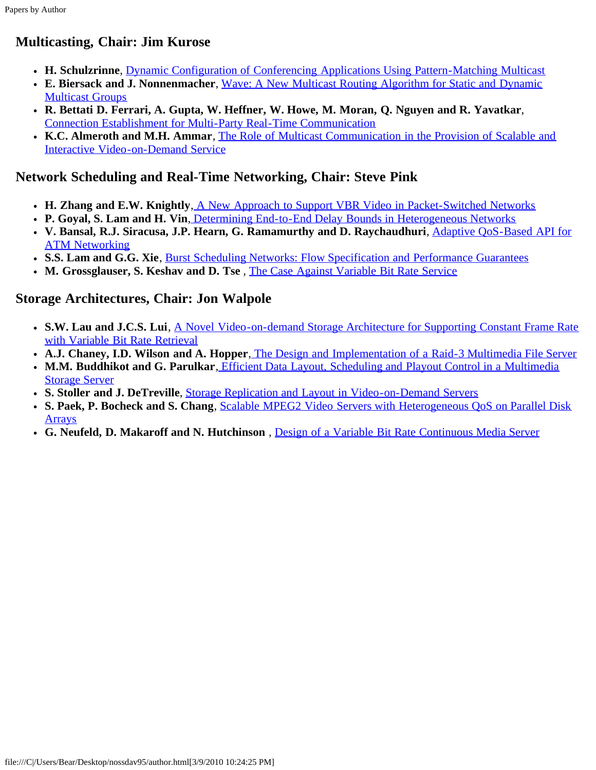#### **Multicasting, Chair: Jim Kurose**

- **H. Schulzrinne**, [Dynamic Configuration of Conferencing Applications Using Pattern-Matching Multicast](#page-17-1)
- **E. Biersack and J. Nonnenmacher**, [Wave: A New Multicast Routing Algorithm for Static and Dynamic](#page-10-1) **[Multicast Groups](#page-10-1)**
- **R. Bettati D. Ferrari, A. Gupta, W. Heffner, W. Howe, M. Moran, Q. Nguyen and R. Yavatkar**, [Connection Establishment for Multi-Party Real-Time Communication](#page-14-2)
- **K.C. Almeroth and M.H. Ammar**, [The Role of Multicast Communication in the Provision of Scalable and](#page-10-2) [Interactive Video-on-Demand Service](#page-10-2)

#### **Network Scheduling and Real-Time Networking, Chair: Steve Pink**

- **H. Zhang and E.W. Knightly, [A New Approach to Support VBR Video in Packet-Switched Networks](#page-14-3)**
- **P. Goyal, S. Lam and H. Vin**, [Determining End-to-End Delay Bounds in Heterogeneous Networks](#page-15-1)
- **V. Bansal, R.J. Siracusa, J.P. Hearn, G. Ramamurthy and D. Raychaudhuri**, [Adaptive QoS-Based API for](#page-11-2) [ATM Networking](#page-11-2)
- **S.S. Lam and G.G. Xie**, [Burst Scheduling Networks: Flow Specification and Performance Guarantees](#page-10-3)
- **M. Grossglauser, S. Keshav and D. Tse** , [The Case Against Variable Bit Rate Service](#page-12-3)

#### **Storage Architectures, Chair: Jon Walpole**

- **S.W. Lau and J.C.S. Lui**, [A Novel Video-on-demand Storage Architecture for Supporting Constant Frame Rate](#page-9-2) [with Variable Bit Rate Retrieval](#page-9-2)
- **A.J. Chaney, I.D. Wilson and A. Hopper**[, The Design and Implementation of a Raid-3 Multimedia File Server](#page-18-1)
- **M.M. Buddhikot and G. Parulkar**, [Efficient Data Layout, Scheduling and Playout Control in a Multimedia](#page-19-2) [Storage Server](#page-19-2)
- **S. Stoller and J. DeTreville**, [Storage Replication and Layout in Video-on-Demand Servers](#page-18-2)
- **S. Paek, P. Bocheck and S. Chang**, [Scalable MPEG2 Video Servers with Heterogeneous QoS on Parallel Disk](#page-9-0) **[Arrays](#page-9-0)**
- **G. Neufeld, D. Makaroff and N. Hutchinson** , [Design of a Variable Bit Rate Continuous Media Server](#page-9-3)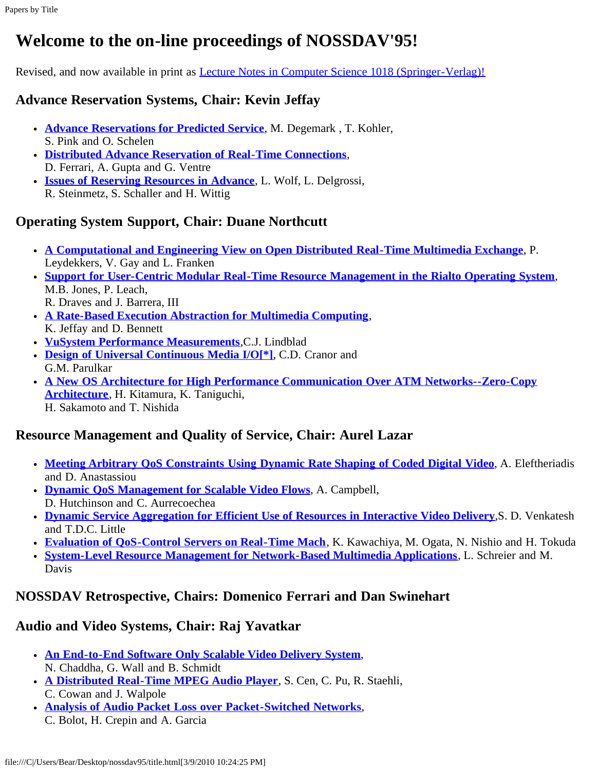# <span id="page-5-0"></span>**Welcome to the on-line proceedings of NOSSDAV'95!**

Revised, and now available in print as *[Lecture Notes in Computer Science 1018 \(Springer-Verlag\)!](#page-2-0)* 

#### **Advance Reservation Systems, Chair: Kevin Jeffay**

- **[Advance Reservations for Predicted Service](#page-13-0)**, M. Degemark , T. Kohler, S. Pink and O. Schelen
- **[Distributed Advance Reservation of Real-Time Connections](#page-15-2)**, D. Ferrari, A. Gupta and G. Ventre
- **[Issues of Reserving Resources in Advance](#page-10-0)**, L. Wolf, L. Delgrossi, R. Steinmetz, S. Schaller and H. Wittig

#### **Operating System Support, Chair: Duane Northcutt**

- **[A Computational and Engineering View on Open Distributed Real-Time Multimedia Exchange](#page-16-0)**, P. Leydekkers, V. Gay and L. Franken
- **[Support for User-Centric Modular Real-Time Resource Management in the Rialto Operating System](#page-13-1)**, M.B. Jones, P. Leach, R. Draves and J. Barrera, III
- **[A Rate-Based Execution Abstraction for Multimedia Computing](#page-16-1)**, K. Jeffay and D. Bennett
- **[VuSystem Performance Measurements](#page-12-0)**,C.J. Lindblad
- **[Design of Universal Continuous Media I/O\[\\*\]](#page-15-0)**, C.D. Cranor and G.M. Parulkar
- **[A New OS Architecture for High Performance Communication Over ATM Networks--Zero-Copy](#page-12-1) [Architecture](#page-12-1)**, H. Kitamura, K. Taniguchi, H. Sakamoto and T. Nishida

#### **Resource Management and Quality of Service, Chair: Aurel Lazar**

- **[Meeting Arbitrary QoS Constraints Using Dynamic Rate Shaping of Coded Digital Video](#page-20-0)**, A. Eleftheriadis and D. Anastassiou
- **[Dynamic QoS Management for Scalable Video Flows](#page-19-0)**, A. Campbell, D. Hutchinson and C. Aurrecoechea
- **[Dynamic Service Aggregation for Efficient Use of Resources in Interactive Video Delivery](#page-19-1)**,S. D. Venkatesh and T.D.C. Little
- **[Evaluation of QoS-Control Servers on Real-Time Mach](#page-12-2)**, K. Kawachiya, M. Ogata, N. Nishio and H. Tokuda
- **[System-Level Resource Management for Network-Based Multimedia Applications](#page-17-0)**, L. Schreier and M. Davis

#### **NOSSDAV Retrospective, Chairs: Domenico Ferrari and Dan Swinehart**

#### **Audio and Video Systems, Chair: Raj Yavatkar**

- **[An End-to-End Software Only Scalable Video Delivery System](#page-14-0)**, N. Chaddha, G. Wall and B. Schmidt
- **[A Distributed Real-Time MPEG Audio Player](#page-13-2)**, S. Cen, C. Pu, R. Staehli, C. Cowan and J. Walpole
- **[Analysis of Audio Packet Loss over Packet-Switched Networks](#page-14-1)**, C. Bolot, H. Crepin and A. Garcia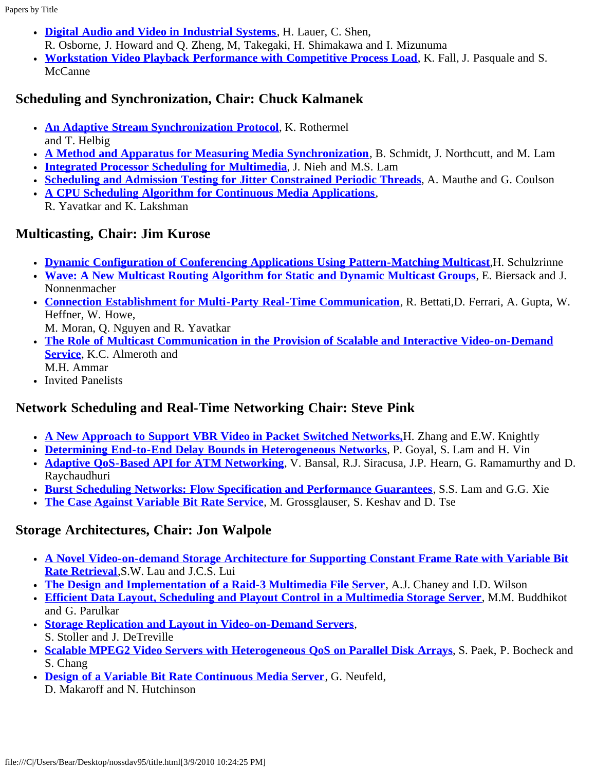Papers by Title

- **[Digital Audio and Video in Industrial Systems](#page-16-2)**, H. Lauer, C. Shen, R. Osborne, J. Howard and Q. Zheng, M, Takegaki, H. Shimakawa and I. Mizunuma
- **[Workstation Video Playback Performance with Competitive Process Load](#page-11-0)**, K. Fall, J. Pasquale and S. McCanne

#### **Scheduling and Synchronization, Chair: Chuck Kalmanek**

- **[An Adaptive Stream Synchronization Protocol](#page-9-1)**, K. Rothermel and T. Helbig
- **[A Method and Apparatus for Measuring Media Synchronization](#page-20-1)**, B. Schmidt, J. Northcutt, and M. Lam
- **[Integrated Processor Scheduling for Multimedia](#page-16-3)**, J. Nieh and M.S. Lam
- **[Scheduling and Admission Testing for Jitter Constrained Periodic Threads](#page-11-1)**, A. Mauthe and G. Coulson **[A CPU Scheduling Algorithm for Continuous Media Applications](#page-18-0)**,
	- R. Yavatkar and K. Lakshman

#### **Multicasting, Chair: Jim Kurose**

- **[Dynamic Configuration of Conferencing Applications Using Pattern-Matching Multicast](#page-17-2)**,H. Schulzrinne
- **[Wave: A New Multicast Routing Algorithm for Static and Dynamic Multicast Groups](#page-10-1)**, E. Biersack and J. Nonnenmacher
- **[Connection Establishment for Multi-Party Real-Time Communication](#page-14-2)**, R. Bettati,D. Ferrari, A. Gupta, W. Heffner, W. Howe,
- M. Moran, Q. Nguyen and R. Yavatkar
- **[The Role of Multicast Communication in the Provision of Scalable and Interactive Video-on-Demand](#page-10-2) [Service](#page-10-2)**, K.C. Almeroth and
- M.H. Ammar
- Invited Panelists

#### **Network Scheduling and Real-Time Networking Chair: Steve Pink**

- **[A New Approach to Support VBR Video in Packet Switched Networks,](#page-14-3)**H. Zhang and E.W. Knightly
- **[Determining End-to-End Delay Bounds in Heterogeneous Networks](#page-15-1)**, P. Goyal, S. Lam and H. Vin
- **[Adaptive QoS-Based API for ATM Networking](#page-11-2)**, V. Bansal, R.J. Siracusa, J.P. Hearn, G. Ramamurthy and D. Raychaudhuri
- **[Burst Scheduling Networks: Flow Specification and Performance Guarantees](javascript:if(confirm()**, S.S. Lam and G.G. Xie
- **[The Case Against Variable Bit Rate Service](#page-12-3)**, M. Grossglauser, S. Keshav and D. Tse

#### **Storage Architectures, Chair: Jon Walpole**

- **[A Novel Video-on-demand Storage Architecture for Supporting Constant Frame Rate with Variable Bit](#page-9-2) [Rate Retrieval](#page-9-2)**,S.W. Lau and J.C.S. Lui
- **[The Design and Implementation of a Raid-3 Multimedia File Server](#page-18-1)**, A.J. Chaney and I.D. Wilson
- **[Efficient Data Layout, Scheduling and Playout Control in a Multimedia Storage Server](#page-19-2)**, M.M. Buddhikot and G. Parulkar
- **[Storage Replication and Layout in Video-on-Demand Servers](#page-18-2)**, S. Stoller and J. DeTreville
- **[Scalable MPEG2 Video Servers with Heterogeneous QoS on Parallel Disk Arrays](#page-9-0)**, S. Paek, P. Bocheck and S. Chang
- **[Design of a Variable Bit Rate Continuous Media Server](#page-9-3)**, G. Neufeld, D. Makaroff and N. Hutchinson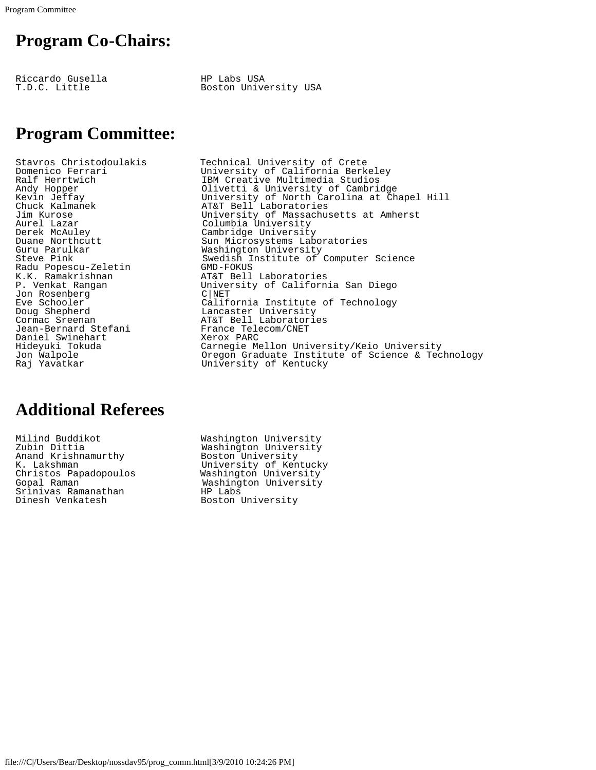# <span id="page-7-0"></span>**Program Co-Chairs:**

Riccardo Gusella and HP Labs USA<br>T.D.C. Little and Hoston Unive

Boston University USA

## **Program Committee:**

Stavros Christodoulakis Technical University of Crete Aurel Lazar Columbia University Derek McAuley Cambridge University Radu Popescu-Zeletin GMD-FOKUS Jon Rosenberg C|NET Doug Shepherd Lancaster University Jean-Bernard Stefani France Telecom/CNET Daniel Swinehart Xerox PARC Raj Yavatkar University of Kentucky

## **Additional Referees**

Milind Buddikot Washington University Zubin Dittia Washington University Anand Krishnamurthy Boston University Christos Papadopoulos Washington University Gopal Raman Washington University Srinivas Ramanathan HP Labs Dinesh Venkatesh Boston University

Domenico Ferrari University of California Berkeley Ralf Herrtwich IBM Creative Multimedia Studios Andy Hopper Olivetti & University of Cambridge Kevin Jeffay University of North Carolina at Chapel Hill Chuck Kalmanek AT&T Bell Laboratories Jim Kurose University of Massachusetts at Amherst Duane Northcutt Sun Microsystems Laboratories Guru Parulkar Washington University Steve Pink Swedish Institute of Computer Science K.K. Ramakrishnan AT&T Bell Laboratories P. Venkat Rangan University of California San Diego Eve Schooler California Institute of Technology Cormac Sreenan AT&T Bell Laboratories Hideyuki Tokuda Carnegie Mellon University/Keio University Jon Walpole Oregon Graduate Institute of Science & Technology

K. Lakshman University of Kentucky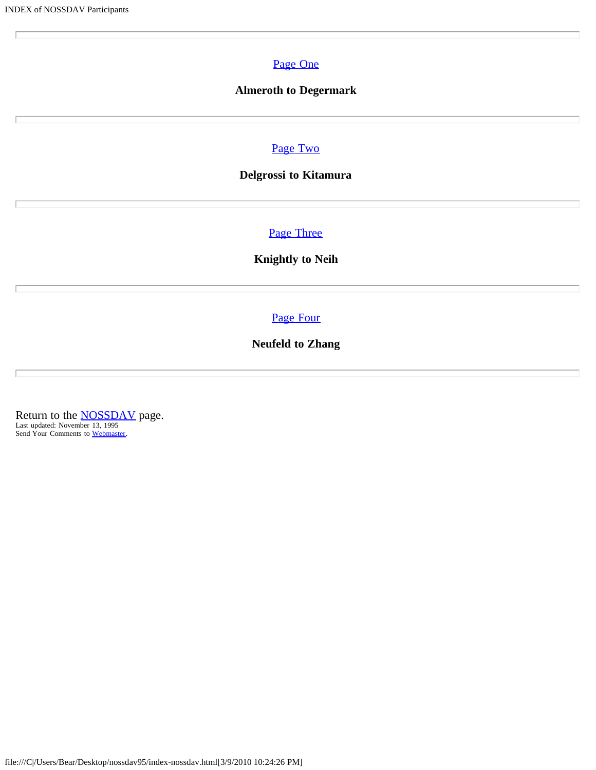<span id="page-8-0"></span>Г

#### [Page One](#page-21-0)

#### **Almeroth to Degermark**

#### [Page Two](#page-22-0)

#### **Delgrossi to Kitamura**

#### [Page Three](#page-24-0)

#### **Knightly to Neih**

#### [Page Four](#page-26-0)

#### **Neufeld to Zhang**

Return to the <u>NOSSDAV</u> page.<br>Last updated: November 13, 1995 Send Your Comments to [Webmaster.](mailto:jntran@bu.edu)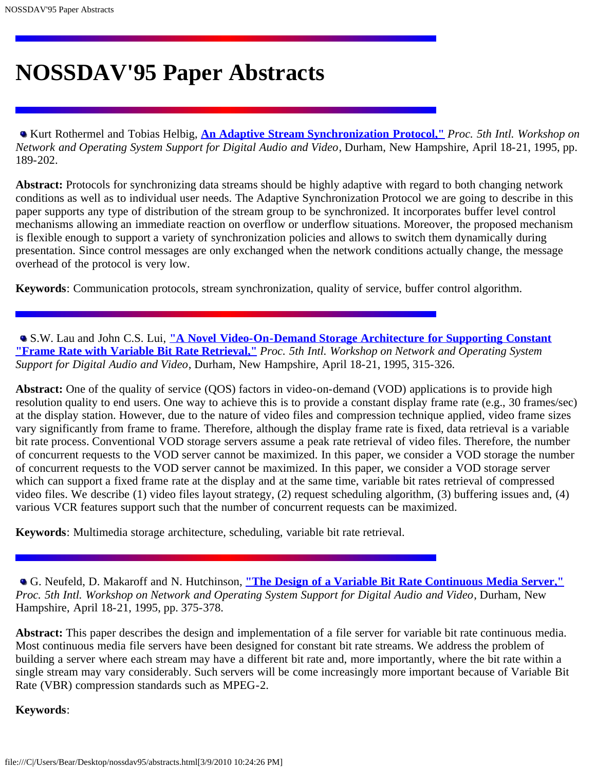# <span id="page-9-0"></span>**NOSSDAV'95 Paper Abstracts**

<span id="page-9-1"></span> Kurt Rothermel and Tobias Helbig, **[An Adaptive Stream Synchronization Protocol,"](file:///C|/Users/Bear/Desktop/nossdav95/RothermelHelbig.ps)** *Proc. 5th Intl. Workshop on Network and Operating System Support for Digital Audio and Video*, Durham, New Hampshire, April 18-21, 1995, pp. 189-202.

**Abstract:** Protocols for synchronizing data streams should be highly adaptive with regard to both changing network conditions as well as to individual user needs. The Adaptive Synchronization Protocol we are going to describe in this paper supports any type of distribution of the stream group to be synchronized. It incorporates buffer level control mechanisms allowing an immediate reaction on overflow or underflow situations. Moreover, the proposed mechanism is flexible enough to support a variety of synchronization policies and allows to switch them dynamically during presentation. Since control messages are only exchanged when the network conditions actually change, the message overhead of the protocol is very low.

**Keywords**: Communication protocols, stream synchronization, quality of service, buffer control algorithm.

<span id="page-9-2"></span>**• S.W. Lau and John C.S. Lui, ["A Novel Video-On-Demand Storage Architecture for Supporting Constant](file:///C|/Users/Bear/Desktop/nossdav95/cslui.ps) ["Frame Rate with Variable Bit Rate Retrieval,"](file:///C|/Users/Bear/Desktop/nossdav95/cslui.ps)** *Proc. 5th Intl. Workshop on Network and Operating System Support for Digital Audio and Video*, Durham, New Hampshire, April 18-21, 1995, 315-326.

Abstract: One of the quality of service (QOS) factors in video-on-demand (VOD) applications is to provide high resolution quality to end users. One way to achieve this is to provide a constant display frame rate (e.g., 30 frames/sec) at the display station. However, due to the nature of video files and compression technique applied, video frame sizes vary significantly from frame to frame. Therefore, although the display frame rate is fixed, data retrieval is a variable bit rate process. Conventional VOD storage servers assume a peak rate retrieval of video files. Therefore, the number of concurrent requests to the VOD server cannot be maximized. In this paper, we consider a VOD storage the number of concurrent requests to the VOD server cannot be maximized. In this paper, we consider a VOD storage server which can support a fixed frame rate at the display and at the same time, variable bit rates retrieval of compressed video files. We describe (1) video files layout strategy, (2) request scheduling algorithm, (3) buffering issues and, (4) various VCR features support such that the number of concurrent requests can be maximized.

**Keywords**: Multimedia storage architecture, scheduling, variable bit rate retrieval.

<span id="page-9-3"></span> G. Neufeld, D. Makaroff and N. Hutchinson, **["The Design of a Variable Bit Rate Continuous Media Server,"](file:///C|/Users/Bear/Desktop/nossdav95/neufeld.ps)** *Proc. 5th Intl. Workshop on Network and Operating System Support for Digital Audio and Video*, Durham, New Hampshire, April 18-21, 1995, pp. 375-378.

**Abstract:** This paper describes the design and implementation of a file server for variable bit rate continuous media. Most continuous media file servers have been designed for constant bit rate streams. We address the problem of building a server where each stream may have a different bit rate and, more importantly, where the bit rate within a single stream may vary considerably. Such servers will be come increasingly more important because of Variable Bit Rate (VBR) compression standards such as MPEG-2.

**Keywords**: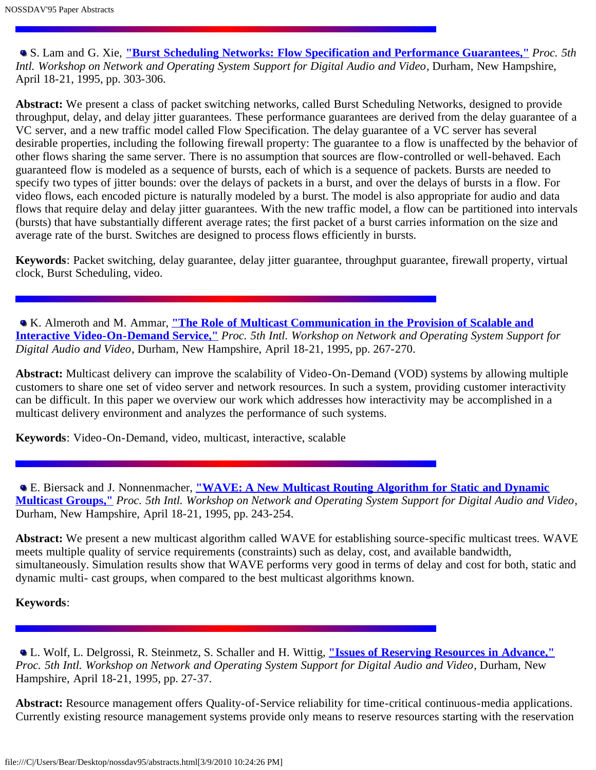<span id="page-10-3"></span> S. Lam and G. Xie, **["Burst Scheduling Networks: Flow Specification and Performance Guarantees,"](file:///C|/Users/Bear/Desktop/nossdav95/Lam_revised.ps)** *Proc. 5th Intl. Workshop on Network and Operating System Support for Digital Audio and Video*, Durham, New Hampshire, April 18-21, 1995, pp. 303-306.

**Abstract:** We present a class of packet switching networks, called Burst Scheduling Networks, designed to provide throughput, delay, and delay jitter guarantees. These performance guarantees are derived from the delay guarantee of a VC server, and a new traffic model called Flow Specification. The delay guarantee of a VC server has several desirable properties, including the following firewall property: The guarantee to a flow is unaffected by the behavior of other flows sharing the same server. There is no assumption that sources are flow-controlled or well-behaved. Each guaranteed flow is modeled as a sequence of bursts, each of which is a sequence of packets. Bursts are needed to specify two types of jitter bounds: over the delays of packets in a burst, and over the delays of bursts in a flow. For video flows, each encoded picture is naturally modeled by a burst. The model is also appropriate for audio and data flows that require delay and delay jitter guarantees. With the new traffic model, a flow can be partitioned into intervals (bursts) that have substantially different average rates; the first packet of a burst carries information on the size and average rate of the burst. Switches are designed to process flows efficiently in bursts.

**Keywords**: Packet switching, delay guarantee, delay jitter guarantee, throughput guarantee, firewall property, virtual clock, Burst Scheduling, video.

<span id="page-10-2"></span>**• K. Almeroth and M. Ammar, ["The Role of Multicast Communication in the Provision of Scalable and](file:///C|/Users/Bear/Desktop/nossdav95/almeroth.ps) [Interactive Video-On-Demand Service,"](file:///C|/Users/Bear/Desktop/nossdav95/almeroth.ps)** *Proc. 5th Intl. Workshop on Network and Operating System Support for Digital Audio and Video*, Durham, New Hampshire, April 18-21, 1995, pp. 267-270.

**Abstract:** Multicast delivery can improve the scalability of Video-On-Demand (VOD) systems by allowing multiple customers to share one set of video server and network resources. In such a system, providing customer interactivity can be difficult. In this paper we overview our work which addresses how interactivity may be accomplished in a multicast delivery environment and analyzes the performance of such systems.

**Keywords**: Video-On-Demand, video, multicast, interactive, scalable

<span id="page-10-1"></span> E. Biersack and J. Nonnenmacher, **["WAVE: A New Multicast Routing Algorithm for Static and Dynamic](file:///C|/Users/Bear/Desktop/nossdav95/biersack_new.ps) [Multicast Groups,"](file:///C|/Users/Bear/Desktop/nossdav95/biersack_new.ps)** *Proc. 5th Intl. Workshop on Network and Operating System Support for Digital Audio and Video*, Durham, New Hampshire, April 18-21, 1995, pp. 243-254.

**Abstract:** We present a new multicast algorithm called WAVE for establishing source-specific multicast trees. WAVE meets multiple quality of service requirements (constraints) such as delay, cost, and available bandwidth, simultaneously. Simulation results show that WAVE performs very good in terms of delay and cost for both, static and dynamic multi- cast groups, when compared to the best multicast algorithms known.

#### **Keywords**:

<span id="page-10-0"></span> L. Wolf, L. Delgrossi, R. Steinmetz, S. Schaller and H. Wittig, **["Issues of Reserving Resources in Advance,"](file:///C|/Users/Bear/Desktop/nossdav95/wolf.ps)** *Proc. 5th Intl. Workshop on Network and Operating System Support for Digital Audio and Video*, Durham, New Hampshire, April 18-21, 1995, pp. 27-37.

**Abstract:** Resource management offers Quality-of-Service reliability for time-critical continuous-media applications. Currently existing resource management systems provide only means to reserve resources starting with the reservation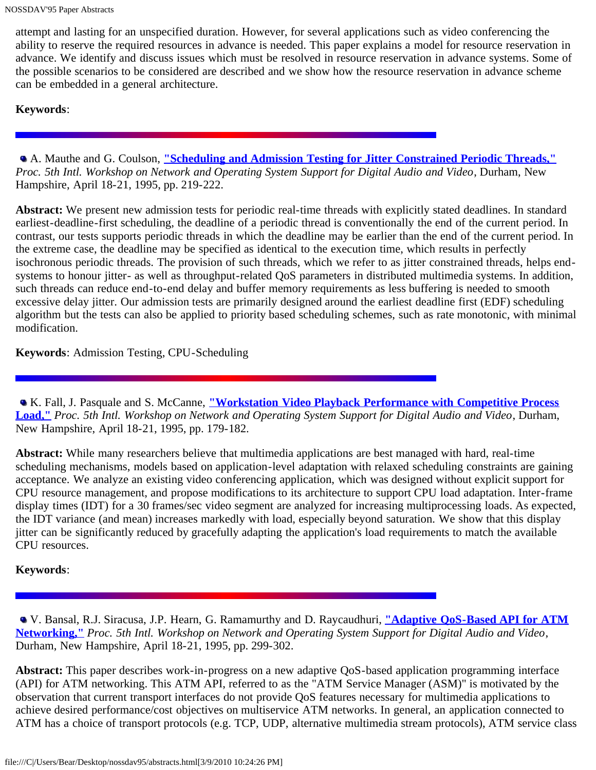attempt and lasting for an unspecified duration. However, for several applications such as video conferencing the ability to reserve the required resources in advance is needed. This paper explains a model for resource reservation in advance. We identify and discuss issues which must be resolved in resource reservation in advance systems. Some of the possible scenarios to be considered are described and we show how the resource reservation in advance scheme can be embedded in a general architecture.

#### **Keywords**:

<span id="page-11-1"></span> A. Mauthe and G. Coulson, **["Scheduling and Admission Testing for Jitter Constrained Periodic Threads,"](file:///C|/Users/Bear/Desktop/nossdav95/mauthe_coulson.ps)** *Proc. 5th Intl. Workshop on Network and Operating System Support for Digital Audio and Video*, Durham, New Hampshire, April 18-21, 1995, pp. 219-222.

**Abstract:** We present new admission tests for periodic real-time threads with explicitly stated deadlines. In standard earliest-deadline-first scheduling, the deadline of a periodic thread is conventionally the end of the current period. In contrast, our tests supports periodic threads in which the deadline may be earlier than the end of the current period. In the extreme case, the deadline may be specified as identical to the execution time, which results in perfectly isochronous periodic threads. The provision of such threads, which we refer to as jitter constrained threads, helps endsystems to honour jitter- as well as throughput-related QoS parameters in distributed multimedia systems. In addition, such threads can reduce end-to-end delay and buffer memory requirements as less buffering is needed to smooth excessive delay jitter. Our admission tests are primarily designed around the earliest deadline first (EDF) scheduling algorithm but the tests can also be applied to priority based scheduling schemes, such as rate monotonic, with minimal modification.

**Keywords**: Admission Testing, CPU-Scheduling

<span id="page-11-0"></span> K. Fall, J. Pasquale and S. McCanne, **["Workstation Video Playback Performance with Competitive Process](file:///C|/Users/Bear/Desktop/nossdav95/KevinFall.ps) [Load,"](file:///C|/Users/Bear/Desktop/nossdav95/KevinFall.ps)** *Proc. 5th Intl. Workshop on Network and Operating System Support for Digital Audio and Video*, Durham, New Hampshire, April 18-21, 1995, pp. 179-182.

**Abstract:** While many researchers believe that multimedia applications are best managed with hard, real-time scheduling mechanisms, models based on application-level adaptation with relaxed scheduling constraints are gaining acceptance. We analyze an existing video conferencing application, which was designed without explicit support for CPU resource management, and propose modifications to its architecture to support CPU load adaptation. Inter-frame display times (IDT) for a 30 frames/sec video segment are analyzed for increasing multiprocessing loads. As expected, the IDT variance (and mean) increases markedly with load, especially beyond saturation. We show that this display jitter can be significantly reduced by gracefully adapting the application's load requirements to match the available CPU resources.

#### **Keywords**:

<span id="page-11-2"></span> V. Bansal, R.J. Siracusa, J.P. Hearn, G. Ramamurthy and D. Raycaudhuri, **["Adaptive QoS-Based API for ATM](file:///C|/Users/Bear/Desktop/nossdav95/bansal.ps) [Networking,"](file:///C|/Users/Bear/Desktop/nossdav95/bansal.ps)** *Proc. 5th Intl. Workshop on Network and Operating System Support for Digital Audio and Video*, Durham, New Hampshire, April 18-21, 1995, pp. 299-302.

**Abstract:** This paper describes work-in-progress on a new adaptive QoS-based application programming interface (API) for ATM networking. This ATM API, referred to as the "ATM Service Manager (ASM)" is motivated by the observation that current transport interfaces do not provide QoS features necessary for multimedia applications to achieve desired performance/cost objectives on multiservice ATM networks. In general, an application connected to ATM has a choice of transport protocols (e.g. TCP, UDP, alternative multimedia stream protocols), ATM service class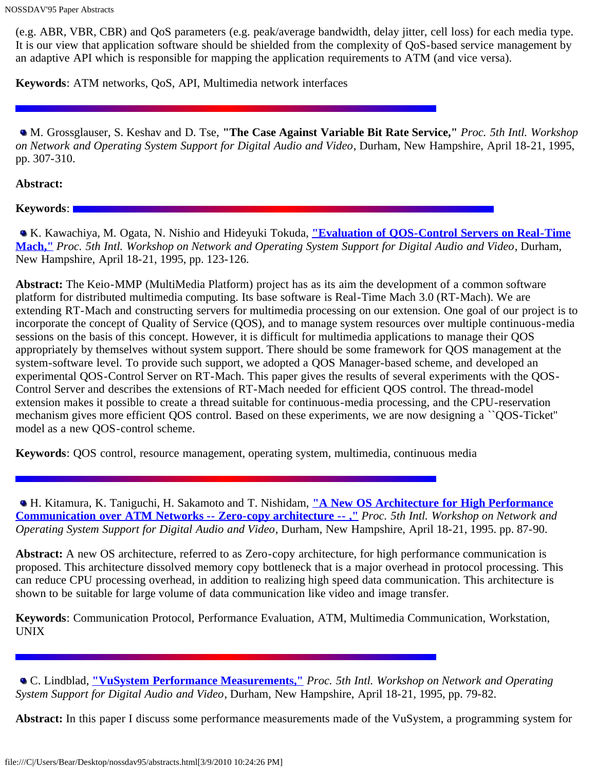(e.g. ABR, VBR, CBR) and QoS parameters (e.g. peak/average bandwidth, delay jitter, cell loss) for each media type. It is our view that application software should be shielded from the complexity of QoS-based service management by an adaptive API which is responsible for mapping the application requirements to ATM (and vice versa).

**Keywords**: ATM networks, QoS, API, Multimedia network interfaces

<span id="page-12-3"></span> M. Grossglauser, S. Keshav and D. Tse, **"The Case Against Variable Bit Rate Service,"** *Proc. 5th Intl. Workshop on Network and Operating System Support for Digital Audio and Video*, Durham, New Hampshire, April 18-21, 1995, pp. 307-310.

**Abstract:**

**Keywords**:

<span id="page-12-2"></span>**K.** Kawachiya, M. Ogata, N. Nishio and Hideyuki Tokuda, **["Evaluation of QOS-Control Servers on Real-Time](file:///C|/Users/Bear/Desktop/nossdav95/kawachiya.ps) [Mach,"](file:///C|/Users/Bear/Desktop/nossdav95/kawachiya.ps)** *Proc. 5th Intl. Workshop on Network and Operating System Support for Digital Audio and Video*, Durham, New Hampshire, April 18-21, 1995, pp. 123-126.

**Abstract:** The Keio-MMP (MultiMedia Platform) project has as its aim the development of a common software platform for distributed multimedia computing. Its base software is Real-Time Mach 3.0 (RT-Mach). We are extending RT-Mach and constructing servers for multimedia processing on our extension. One goal of our project is to incorporate the concept of Quality of Service (QOS), and to manage system resources over multiple continuous-media sessions on the basis of this concept. However, it is difficult for multimedia applications to manage their QOS appropriately by themselves without system support. There should be some framework for QOS management at the system-software level. To provide such support, we adopted a QOS Manager-based scheme, and developed an experimental QOS-Control Server on RT-Mach. This paper gives the results of several experiments with the QOS-Control Server and describes the extensions of RT-Mach needed for efficient QOS control. The thread-model extension makes it possible to create a thread suitable for continuous-media processing, and the CPU-reservation mechanism gives more efficient QOS control. Based on these experiments, we are now designing a ``QOS-Ticket'' model as a new QOS-control scheme.

**Keywords**: QOS control, resource management, operating system, multimedia, continuous media

<span id="page-12-1"></span> H. Kitamura, K. Taniguchi, H. Sakamoto and T. Nishidam, **["A New OS Architecture for High Performance](file:///C|/Users/Bear/Desktop/nossdav95/kitamura.ps) [Communication over ATM Networks -- Zero-copy architecture -- ,"](file:///C|/Users/Bear/Desktop/nossdav95/kitamura.ps)** *Proc. 5th Intl. Workshop on Network and Operating System Support for Digital Audio and Video*, Durham, New Hampshire, April 18-21, 1995. pp. 87-90.

**Abstract:** A new OS architecture, referred to as Zero-copy architecture, for high performance communication is proposed. This architecture dissolved memory copy bottleneck that is a major overhead in protocol processing. This can reduce CPU processing overhead, in addition to realizing high speed data communication. This architecture is shown to be suitable for large volume of data communication like video and image transfer.

**Keywords**: Communication Protocol, Performance Evaluation, ATM, Multimedia Communication, Workstation, UNIX

<span id="page-12-0"></span> C. Lindblad, **["VuSystem Performance Measurements,"](file:///C|/Users/Bear/Desktop/nossdav95/lindblad.ps)** *Proc. 5th Intl. Workshop on Network and Operating System Support for Digital Audio and Video*, Durham, New Hampshire, April 18-21, 1995, pp. 79-82.

**Abstract:** In this paper I discuss some performance measurements made of the VuSystem, a programming system for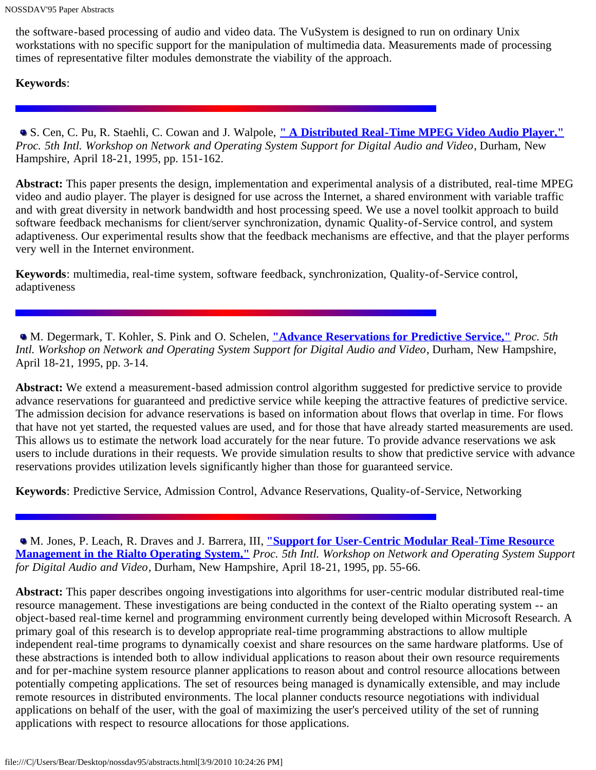the software-based processing of audio and video data. The VuSystem is designed to run on ordinary Unix workstations with no specific support for the manipulation of multimedia data. Measurements made of processing times of representative filter modules demonstrate the viability of the approach.

#### **Keywords**:

<span id="page-13-2"></span> S. Cen, C. Pu, R. Staehli, C. Cowan and J. Walpole, **[" A Distributed Real-Time MPEG Video Audio Player,"](file:///C|/Users/Bear/Desktop/nossdav95/CEN_Shanwei.ps)** *Proc. 5th Intl. Workshop on Network and Operating System Support for Digital Audio and Video*, Durham, New Hampshire, April 18-21, 1995, pp. 151-162.

**Abstract:** This paper presents the design, implementation and experimental analysis of a distributed, real-time MPEG video and audio player. The player is designed for use across the Internet, a shared environment with variable traffic and with great diversity in network bandwidth and host processing speed. We use a novel toolkit approach to build software feedback mechanisms for client/server synchronization, dynamic Quality-of-Service control, and system adaptiveness. Our experimental results show that the feedback mechanisms are effective, and that the player performs very well in the Internet environment.

**Keywords**: multimedia, real-time system, software feedback, synchronization, Quality-of-Service control, adaptiveness

<span id="page-13-0"></span> M. Degermark, T. Kohler, S. Pink and O. Schelen, **["Advance Reservations for Predictive Service,"](file:///C|/Users/Bear/Desktop/nossdav95/Degermark2.ps)** *Proc. 5th Intl. Workshop on Network and Operating System Support for Digital Audio and Video*, Durham, New Hampshire, April 18-21, 1995, pp. 3-14.

**Abstract:** We extend a measurement-based admission control algorithm suggested for predictive service to provide advance reservations for guaranteed and predictive service while keeping the attractive features of predictive service. The admission decision for advance reservations is based on information about flows that overlap in time. For flows that have not yet started, the requested values are used, and for those that have already started measurements are used. This allows us to estimate the network load accurately for the near future. To provide advance reservations we ask users to include durations in their requests. We provide simulation results to show that predictive service with advance reservations provides utilization levels significantly higher than those for guaranteed service.

**Keywords**: Predictive Service, Admission Control, Advance Reservations, Quality-of-Service, Networking

<span id="page-13-1"></span> M. Jones, P. Leach, R. Draves and J. Barrera, III, **["Support for User-Centric Modular Real-Time Resource](file:///C|/Users/Bear/Desktop/nossdav95/Michael_Jones.ps) [Management in the Rialto Operating System,"](file:///C|/Users/Bear/Desktop/nossdav95/Michael_Jones.ps)** *Proc. 5th Intl. Workshop on Network and Operating System Support for Digital Audio and Video*, Durham, New Hampshire, April 18-21, 1995, pp. 55-66.

**Abstract:** This paper describes ongoing investigations into algorithms for user-centric modular distributed real-time resource management. These investigations are being conducted in the context of the Rialto operating system -- an object-based real-time kernel and programming environment currently being developed within Microsoft Research. A primary goal of this research is to develop appropriate real-time programming abstractions to allow multiple independent real-time programs to dynamically coexist and share resources on the same hardware platforms. Use of these abstractions is intended both to allow individual applications to reason about their own resource requirements and for per-machine system resource planner applications to reason about and control resource allocations between potentially competing applications. The set of resources being managed is dynamically extensible, and may include remote resources in distributed environments. The local planner conducts resource negotiations with individual applications on behalf of the user, with the goal of maximizing the user's perceived utility of the set of running applications with respect to resource allocations for those applications.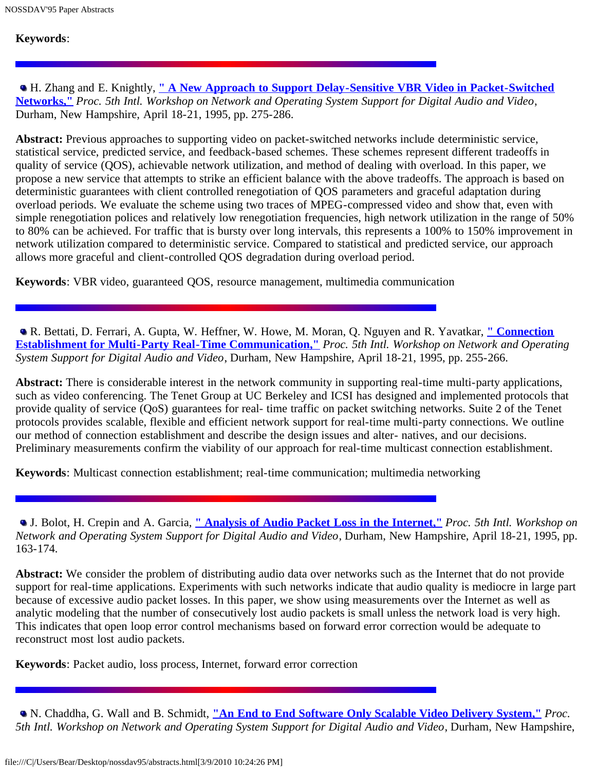#### **Keywords**:

<span id="page-14-3"></span> H. Zhang and E. Knightly, **[" A New Approach to Support Delay-Sensitive VBR Video in Packet-Switched](file:///C|/Users/Bear/Desktop/nossdav95/ZhangKnightly.ps) [Networks,"](file:///C|/Users/Bear/Desktop/nossdav95/ZhangKnightly.ps)** *Proc. 5th Intl. Workshop on Network and Operating System Support for Digital Audio and Video*, Durham, New Hampshire, April 18-21, 1995, pp. 275-286.

**Abstract:** Previous approaches to supporting video on packet-switched networks include deterministic service, statistical service, predicted service, and feedback-based schemes. These schemes represent different tradeoffs in quality of service (QOS), achievable network utilization, and method of dealing with overload. In this paper, we propose a new service that attempts to strike an efficient balance with the above tradeoffs. The approach is based on deterministic guarantees with client controlled renegotiation of QOS parameters and graceful adaptation during overload periods. We evaluate the scheme using two traces of MPEG-compressed video and show that, even with simple renegotiation polices and relatively low renegotiation frequencies, high network utilization in the range of 50% to 80% can be achieved. For traffic that is bursty over long intervals, this represents a 100% to 150% improvement in network utilization compared to deterministic service. Compared to statistical and predicted service, our approach allows more graceful and client-controlled QOS degradation during overload period.

**Keywords**: VBR video, guaranteed QOS, resource management, multimedia communication

<span id="page-14-2"></span> R. Bettati, D. Ferrari, A. Gupta, W. Heffner, W. Howe, M. Moran, Q. Nguyen and R. Yavatkar, **[" Connection](file:///C|/Users/Bear/Desktop/nossdav95/final-bettati.ps) [Establishment for Multi-Party Real-Time Communication,"](file:///C|/Users/Bear/Desktop/nossdav95/final-bettati.ps)** *Proc. 5th Intl. Workshop on Network and Operating System Support for Digital Audio and Video*, Durham, New Hampshire, April 18-21, 1995, pp. 255-266.

**Abstract:** There is considerable interest in the network community in supporting real-time multi-party applications, such as video conferencing. The Tenet Group at UC Berkeley and ICSI has designed and implemented protocols that provide quality of service (QoS) guarantees for real- time traffic on packet switching networks. Suite 2 of the Tenet protocols provides scalable, flexible and efficient network support for real-time multi-party connections. We outline our method of connection establishment and describe the design issues and alter- natives, and our decisions. Preliminary measurements confirm the viability of our approach for real-time multicast connection establishment.

**Keywords**: Multicast connection establishment; real-time communication; multimedia networking

<span id="page-14-1"></span> J. Bolot, H. Crepin and A. Garcia, **[" Analysis of Audio Packet Loss in the Internet,"](file:///C|/Users/Bear/Desktop/nossdav95/bolot.ps)** *Proc. 5th Intl. Workshop on Network and Operating System Support for Digital Audio and Video*, Durham, New Hampshire, April 18-21, 1995, pp. 163-174.

**Abstract:** We consider the problem of distributing audio data over networks such as the Internet that do not provide support for real-time applications. Experiments with such networks indicate that audio quality is mediocre in large part because of excessive audio packet losses. In this paper, we show using measurements over the Internet as well as analytic modeling that the number of consecutively lost audio packets is small unless the network load is very high. This indicates that open loop error control mechanisms based on forward error correction would be adequate to reconstruct most lost audio packets.

**Keywords**: Packet audio, loss process, Internet, forward error correction

<span id="page-14-0"></span> N. Chaddha, G. Wall and B. Schmidt, **["An End to End Software Only Scalable Video Delivery System,"](file:///C|/Users/Bear/Desktop/nossdav95/chaddha.ps)** *Proc. 5th Intl. Workshop on Network and Operating System Support for Digital Audio and Video*, Durham, New Hampshire,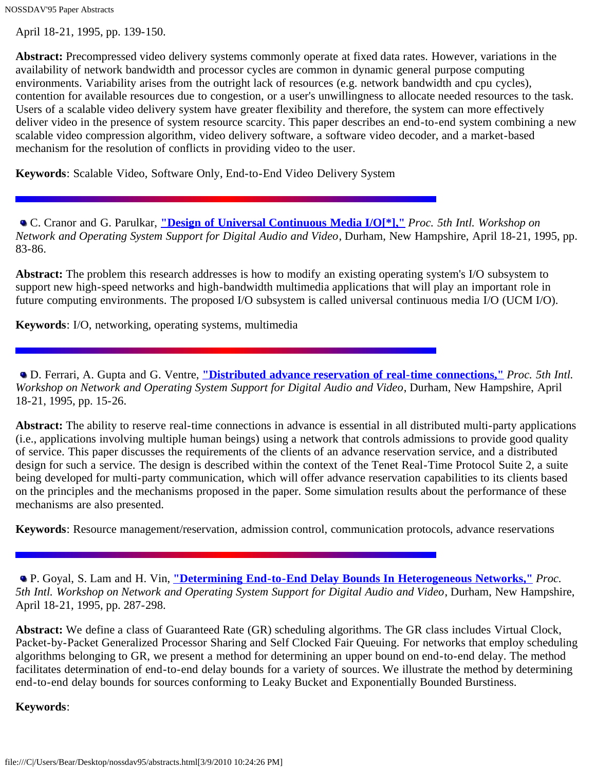NOSSDAV'95 Paper Abstracts

April 18-21, 1995, pp. 139-150.

**Abstract:** Precompressed video delivery systems commonly operate at fixed data rates. However, variations in the availability of network bandwidth and processor cycles are common in dynamic general purpose computing environments. Variability arises from the outright lack of resources (e.g. network bandwidth and cpu cycles), contention for available resources due to congestion, or a user's unwillingness to allocate needed resources to the task. Users of a scalable video delivery system have greater flexibility and therefore, the system can more effectively deliver video in the presence of system resource scarcity. This paper describes an end-to-end system combining a new scalable video compression algorithm, video delivery software, a software video decoder, and a market-based mechanism for the resolution of conflicts in providing video to the user.

**Keywords**: Scalable Video, Software Only, End-to-End Video Delivery System

<span id="page-15-0"></span> C. Cranor and G. Parulkar, **["Design of Universal Continuous Media I/O\[\\*\],"](file:///C|/Users/Bear/Desktop/nossdav95/cranor.ps)** *Proc. 5th Intl. Workshop on Network and Operating System Support for Digital Audio and Video*, Durham, New Hampshire, April 18-21, 1995, pp. 83-86.

**Abstract:** The problem this research addresses is how to modify an existing operating system's I/O subsystem to support new high-speed networks and high-bandwidth multimedia applications that will play an important role in future computing environments. The proposed I/O subsystem is called universal continuous media I/O (UCM I/O).

**Keywords**: I/O, networking, operating systems, multimedia

<span id="page-15-2"></span> D. Ferrari, A. Gupta and G. Ventre, **["Distributed advance reservation of real-time connections,"](file:///C|/Users/Bear/Desktop/nossdav95/ferrari.ps)** *Proc. 5th Intl. Workshop on Network and Operating System Support for Digital Audio and Video*, Durham, New Hampshire, April 18-21, 1995, pp. 15-26.

**Abstract:** The ability to reserve real-time connections in advance is essential in all distributed multi-party applications (i.e., applications involving multiple human beings) using a network that controls admissions to provide good quality of service. This paper discusses the requirements of the clients of an advance reservation service, and a distributed design for such a service. The design is described within the context of the Tenet Real-Time Protocol Suite 2, a suite being developed for multi-party communication, which will offer advance reservation capabilities to its clients based on the principles and the mechanisms proposed in the paper. Some simulation results about the performance of these mechanisms are also presented.

**Keywords**: Resource management/reservation, admission control, communication protocols, advance reservations

<span id="page-15-1"></span> P. Goyal, S. Lam and H. Vin, **["Determining End-to-End Delay Bounds In Heterogeneous Networks,"](file:///C|/Users/Bear/Desktop/nossdav95/goyal.ps)** *Proc. 5th Intl. Workshop on Network and Operating System Support for Digital Audio and Video*, Durham, New Hampshire, April 18-21, 1995, pp. 287-298.

**Abstract:** We define a class of Guaranteed Rate (GR) scheduling algorithms. The GR class includes Virtual Clock, Packet-by-Packet Generalized Processor Sharing and Self Clocked Fair Queuing. For networks that employ scheduling algorithms belonging to GR, we present a method for determining an upper bound on end-to-end delay. The method facilitates determination of end-to-end delay bounds for a variety of sources. We illustrate the method by determining end-to-end delay bounds for sources conforming to Leaky Bucket and Exponentially Bounded Burstiness.

#### **Keywords**: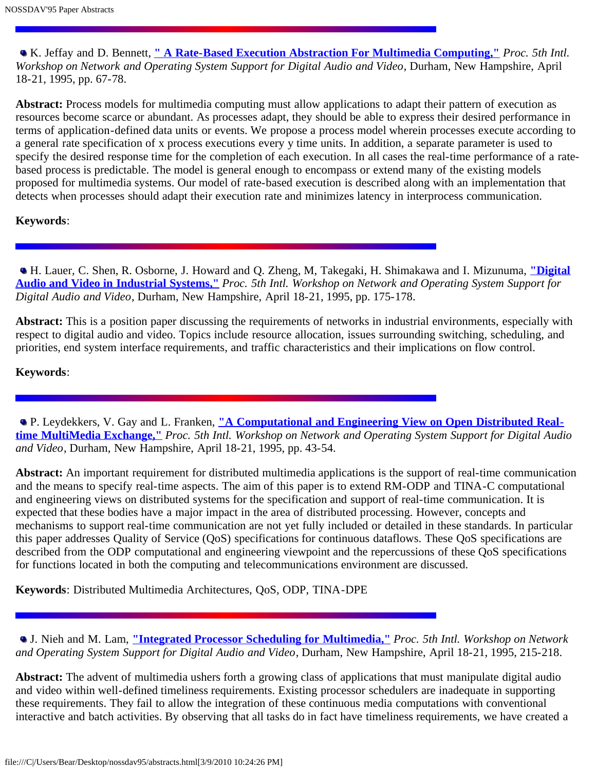<span id="page-16-1"></span> K. Jeffay and D. Bennett, **[" A Rate-Based Execution Abstraction For Multimedia Computing,"](file:///C|/Users/Bear/Desktop/nossdav95/jeffay.ps)** *Proc. 5th Intl. Workshop on Network and Operating System Support for Digital Audio and Video*, Durham, New Hampshire, April 18-21, 1995, pp. 67-78.

**Abstract:** Process models for multimedia computing must allow applications to adapt their pattern of execution as resources become scarce or abundant. As processes adapt, they should be able to express their desired performance in terms of application-defined data units or events. We propose a process model wherein processes execute according to a general rate specification of x process executions every y time units. In addition, a separate parameter is used to specify the desired response time for the completion of each execution. In all cases the real-time performance of a ratebased process is predictable. The model is general enough to encompass or extend many of the existing models proposed for multimedia systems. Our model of rate-based execution is described along with an implementation that detects when processes should adapt their execution rate and minimizes latency in interprocess communication.

#### **Keywords**:

<span id="page-16-2"></span> H. Lauer, C. Shen, R. Osborne, J. Howard and Q. Zheng, M, Takegaki, H. Shimakawa and I. Mizunuma, **["Digital](file:///C|/Users/Bear/Desktop/nossdav95/lauer.ps) [Audio and Video in Industrial Systems,"](file:///C|/Users/Bear/Desktop/nossdav95/lauer.ps)** *Proc. 5th Intl. Workshop on Network and Operating System Support for Digital Audio and Video*, Durham, New Hampshire, April 18-21, 1995, pp. 175-178.

**Abstract:** This is a position paper discussing the requirements of networks in industrial environments, especially with respect to digital audio and video. Topics include resource allocation, issues surrounding switching, scheduling, and priorities, end system interface requirements, and traffic characteristics and their implications on flow control.

#### **Keywords**:

<span id="page-16-0"></span> P. Leydekkers, V. Gay and L. Franken, **["A Computational and Engineering View on Open Distributed Real](file:///C|/Users/Bear/Desktop/nossdav95/leydekker.ps)[time MultiMedia Exchange,"](file:///C|/Users/Bear/Desktop/nossdav95/leydekker.ps)** *Proc. 5th Intl. Workshop on Network and Operating System Support for Digital Audio and Video*, Durham, New Hampshire, April 18-21, 1995, pp. 43-54.

**Abstract:** An important requirement for distributed multimedia applications is the support of real-time communication and the means to specify real-time aspects. The aim of this paper is to extend RM-ODP and TINA-C computational and engineering views on distributed systems for the specification and support of real-time communication. It is expected that these bodies have a major impact in the area of distributed processing. However, concepts and mechanisms to support real-time communication are not yet fully included or detailed in these standards. In particular this paper addresses Quality of Service (QoS) specifications for continuous dataflows. These QoS specifications are described from the ODP computational and engineering viewpoint and the repercussions of these QoS specifications for functions located in both the computing and telecommunications environment are discussed.

**Keywords**: Distributed Multimedia Architectures, QoS, ODP, TINA-DPE

<span id="page-16-3"></span> J. Nieh and M. Lam, **["Integrated Processor Scheduling for Multimedia,"](file:///C|/Users/Bear/Desktop/nossdav95/nieh.ps)** *Proc. 5th Intl. Workshop on Network and Operating System Support for Digital Audio and Video*, Durham, New Hampshire, April 18-21, 1995, 215-218.

**Abstract:** The advent of multimedia ushers forth a growing class of applications that must manipulate digital audio and video within well-defined timeliness requirements. Existing processor schedulers are inadequate in supporting these requirements. They fail to allow the integration of these continuous media computations with conventional interactive and batch activities. By observing that all tasks do in fact have timeliness requirements, we have created a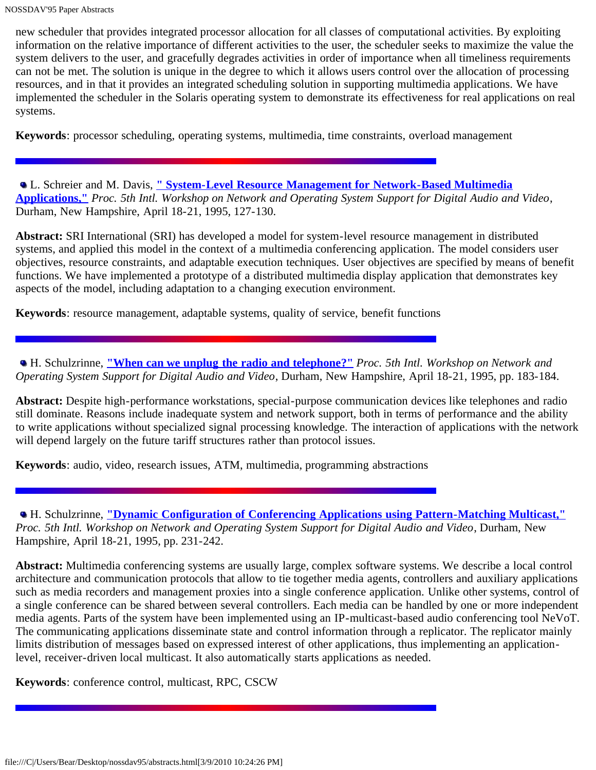NOSSDAV'95 Paper Abstracts

new scheduler that provides integrated processor allocation for all classes of computational activities. By exploiting information on the relative importance of different activities to the user, the scheduler seeks to maximize the value the system delivers to the user, and gracefully degrades activities in order of importance when all timeliness requirements can not be met. The solution is unique in the degree to which it allows users control over the allocation of processing resources, and in that it provides an integrated scheduling solution in supporting multimedia applications. We have implemented the scheduler in the Solaris operating system to demonstrate its effectiveness for real applications on real systems.

**Keywords**: processor scheduling, operating systems, multimedia, time constraints, overload management

<span id="page-17-0"></span> L. Schreier and M. Davis, **[" System-Level Resource Management for Network-Based Multimedia](file:///C|/Users/Bear/Desktop/nossdav95/schreier.ps) [Applications,"](file:///C|/Users/Bear/Desktop/nossdav95/schreier.ps)** *Proc. 5th Intl. Workshop on Network and Operating System Support for Digital Audio and Video*, Durham, New Hampshire, April 18-21, 1995, 127-130.

**Abstract:** SRI International (SRI) has developed a model for system-level resource management in distributed systems, and applied this model in the context of a multimedia conferencing application. The model considers user objectives, resource constraints, and adaptable execution techniques. User objectives are specified by means of benefit functions. We have implemented a prototype of a distributed multimedia display application that demonstrates key aspects of the model, including adaptation to a changing execution environment.

**Keywords**: resource management, adaptable systems, quality of service, benefit functions

<span id="page-17-2"></span> H. Schulzrinne, **["When can we unplug the radio and telephone?"](file:///C|/Users/Bear/Desktop/nossdav95/schulzrinne1.ps)** *Proc. 5th Intl. Workshop on Network and Operating System Support for Digital Audio and Video*, Durham, New Hampshire, April 18-21, 1995, pp. 183-184.

**Abstract:** Despite high-performance workstations, special-purpose communication devices like telephones and radio still dominate. Reasons include inadequate system and network support, both in terms of performance and the ability to write applications without specialized signal processing knowledge. The interaction of applications with the network will depend largely on the future tariff structures rather than protocol issues.

**Keywords**: audio, video, research issues, ATM, multimedia, programming abstractions

<span id="page-17-1"></span> H. Schulzrinne, **["Dynamic Configuration of Conferencing Applications using Pattern-Matching Multicast,"](file:///C|/Users/Bear/Desktop/nossdav95/schulzrinne2.ps)** *Proc. 5th Intl. Workshop on Network and Operating System Support for Digital Audio and Video*, Durham, New Hampshire, April 18-21, 1995, pp. 231-242.

**Abstract:** Multimedia conferencing systems are usually large, complex software systems. We describe a local control architecture and communication protocols that allow to tie together media agents, controllers and auxiliary applications such as media recorders and management proxies into a single conference application. Unlike other systems, control of a single conference can be shared between several controllers. Each media can be handled by one or more independent media agents. Parts of the system have been implemented using an IP-multicast-based audio conferencing tool NeVoT. The communicating applications disseminate state and control information through a replicator. The replicator mainly limits distribution of messages based on expressed interest of other applications, thus implementing an applicationlevel, receiver-driven local multicast. It also automatically starts applications as needed.

**Keywords**: conference control, multicast, RPC, CSCW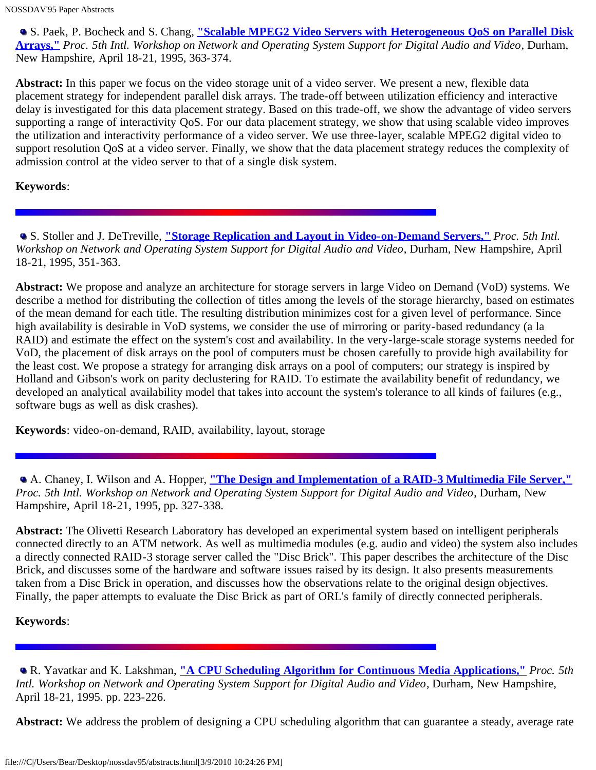S. Paek, P. Bocheck and S. Chang, **["Scalable MPEG2 Video Servers with Heterogeneous QoS on Parallel Disk](file:///C|/Users/Bear/Desktop/nossdav95/seungyup_paek.ps) [Arrays,"](file:///C|/Users/Bear/Desktop/nossdav95/seungyup_paek.ps)** *Proc. 5th Intl. Workshop on Network and Operating System Support for Digital Audio and Video*, Durham, New Hampshire, April 18-21, 1995, 363-374.

**Abstract:** In this paper we focus on the video storage unit of a video server. We present a new, flexible data placement strategy for independent parallel disk arrays. The trade-off between utilization efficiency and interactive delay is investigated for this data placement strategy. Based on this trade-off, we show the advantage of video servers supporting a range of interactivity QoS. For our data placement strategy, we show that using scalable video improves the utilization and interactivity performance of a video server. We use three-layer, scalable MPEG2 digital video to support resolution QoS at a video server. Finally, we show that the data placement strategy reduces the complexity of admission control at the video server to that of a single disk system.

#### **Keywords**:

<span id="page-18-2"></span> S. Stoller and J. DeTreville, **["Storage Replication and Layout in Video-on-Demand Servers,"](file:///C|/Users/Bear/Desktop/nossdav95/stoller.ps)** *Proc. 5th Intl. Workshop on Network and Operating System Support for Digital Audio and Video*, Durham, New Hampshire, April 18-21, 1995, 351-363.

**Abstract:** We propose and analyze an architecture for storage servers in large Video on Demand (VoD) systems. We describe a method for distributing the collection of titles among the levels of the storage hierarchy, based on estimates of the mean demand for each title. The resulting distribution minimizes cost for a given level of performance. Since high availability is desirable in VoD systems, we consider the use of mirroring or parity-based redundancy (a la RAID) and estimate the effect on the system's cost and availability. In the very-large-scale storage systems needed for VoD, the placement of disk arrays on the pool of computers must be chosen carefully to provide high availability for the least cost. We propose a strategy for arranging disk arrays on a pool of computers; our strategy is inspired by Holland and Gibson's work on parity declustering for RAID. To estimate the availability benefit of redundancy, we developed an analytical availability model that takes into account the system's tolerance to all kinds of failures (e.g., software bugs as well as disk crashes).

**Keywords**: video-on-demand, RAID, availability, layout, storage

<span id="page-18-1"></span> A. Chaney, I. Wilson and A. Hopper, **["The Design and Implementation of a RAID-3 Multimedia File Server,"](file:///C|/Users/Bear/Desktop/nossdav95/wilson.ps)** *Proc. 5th Intl. Workshop on Network and Operating System Support for Digital Audio and Video*, Durham, New Hampshire, April 18-21, 1995, pp. 327-338.

**Abstract:** The Olivetti Research Laboratory has developed an experimental system based on intelligent peripherals connected directly to an ATM network. As well as multimedia modules (e.g. audio and video) the system also includes a directly connected RAID-3 storage server called the "Disc Brick". This paper describes the architecture of the Disc Brick, and discusses some of the hardware and software issues raised by its design. It also presents measurements taken from a Disc Brick in operation, and discusses how the observations relate to the original design objectives. Finally, the paper attempts to evaluate the Disc Brick as part of ORL's family of directly connected peripherals.

#### **Keywords**:

<span id="page-18-0"></span> R. Yavatkar and K. Lakshman, **["A CPU Scheduling Algorithm for Continuous Media Applications,"](file:///C|/Users/Bear/Desktop/nossdav95/yavatkar.ps)** *Proc. 5th Intl. Workshop on Network and Operating System Support for Digital Audio and Video*, Durham, New Hampshire, April 18-21, 1995. pp. 223-226.

**Abstract:** We address the problem of designing a CPU scheduling algorithm that can guarantee a steady, average rate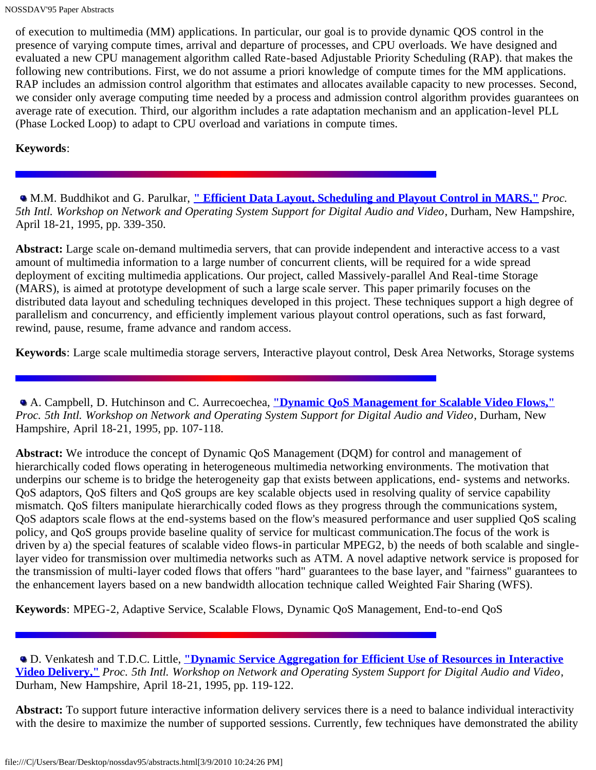of execution to multimedia (MM) applications. In particular, our goal is to provide dynamic QOS control in the presence of varying compute times, arrival and departure of processes, and CPU overloads. We have designed and evaluated a new CPU management algorithm called Rate-based Adjustable Priority Scheduling (RAP). that makes the following new contributions. First, we do not assume a priori knowledge of compute times for the MM applications. RAP includes an admission control algorithm that estimates and allocates available capacity to new processes. Second, we consider only average computing time needed by a process and admission control algorithm provides guarantees on average rate of execution. Third, our algorithm includes a rate adaptation mechanism and an application-level PLL (Phase Locked Loop) to adapt to CPU overload and variations in compute times.

#### **Keywords**:

<span id="page-19-2"></span> M.M. Buddhikot and G. Parulkar, **[" Efficient Data Layout, Scheduling and Playout Control in MARS,"](file:///C|/Users/Bear/Desktop/nossdav95/MilindBuddhi.ps)** *Proc. 5th Intl. Workshop on Network and Operating System Support for Digital Audio and Video*, Durham, New Hampshire, April 18-21, 1995, pp. 339-350.

**Abstract:** Large scale on-demand multimedia servers, that can provide independent and interactive access to a vast amount of multimedia information to a large number of concurrent clients, will be required for a wide spread deployment of exciting multimedia applications. Our project, called Massively-parallel And Real-time Storage (MARS), is aimed at prototype development of such a large scale server. This paper primarily focuses on the distributed data layout and scheduling techniques developed in this project. These techniques support a high degree of parallelism and concurrency, and efficiently implement various playout control operations, such as fast forward, rewind, pause, resume, frame advance and random access.

**Keywords**: Large scale multimedia storage servers, Interactive playout control, Desk Area Networks, Storage systems

<span id="page-19-0"></span> A. Campbell, D. Hutchinson and C. Aurrecoechea, **["Dynamic QoS Management for Scalable Video Flows,"](file:///C|/Users/Bear/Desktop/nossdav95/campbell.ps)** *Proc. 5th Intl. Workshop on Network and Operating System Support for Digital Audio and Video*, Durham, New Hampshire, April 18-21, 1995, pp. 107-118.

**Abstract:** We introduce the concept of Dynamic QoS Management (DQM) for control and management of hierarchically coded flows operating in heterogeneous multimedia networking environments. The motivation that underpins our scheme is to bridge the heterogeneity gap that exists between applications, end- systems and networks. QoS adaptors, QoS filters and QoS groups are key scalable objects used in resolving quality of service capability mismatch. QoS filters manipulate hierarchically coded flows as they progress through the communications system, QoS adaptors scale flows at the end-systems based on the flow's measured performance and user supplied QoS scaling policy, and QoS groups provide baseline quality of service for multicast communication.The focus of the work is driven by a) the special features of scalable video flows-in particular MPEG2, b) the needs of both scalable and singlelayer video for transmission over multimedia networks such as ATM. A novel adaptive network service is proposed for the transmission of multi-layer coded flows that offers "hard" guarantees to the base layer, and "fairness" guarantees to the enhancement layers based on a new bandwidth allocation technique called Weighted Fair Sharing (WFS).

**Keywords**: MPEG-2, Adaptive Service, Scalable Flows, Dynamic QoS Management, End-to-end QoS

<span id="page-19-1"></span> D. Venkatesh and T.D.C. Little, **["Dynamic Service Aggregation for Efficient Use of Resources in Interactive](file:///C|/Users/Bear/Desktop/nossdav95/VenkateshLittle.ps) [Video Delivery,"](file:///C|/Users/Bear/Desktop/nossdav95/VenkateshLittle.ps)** *Proc. 5th Intl. Workshop on Network and Operating System Support for Digital Audio and Video*, Durham, New Hampshire, April 18-21, 1995, pp. 119-122.

**Abstract:** To support future interactive information delivery services there is a need to balance individual interactivity with the desire to maximize the number of supported sessions. Currently, few techniques have demonstrated the ability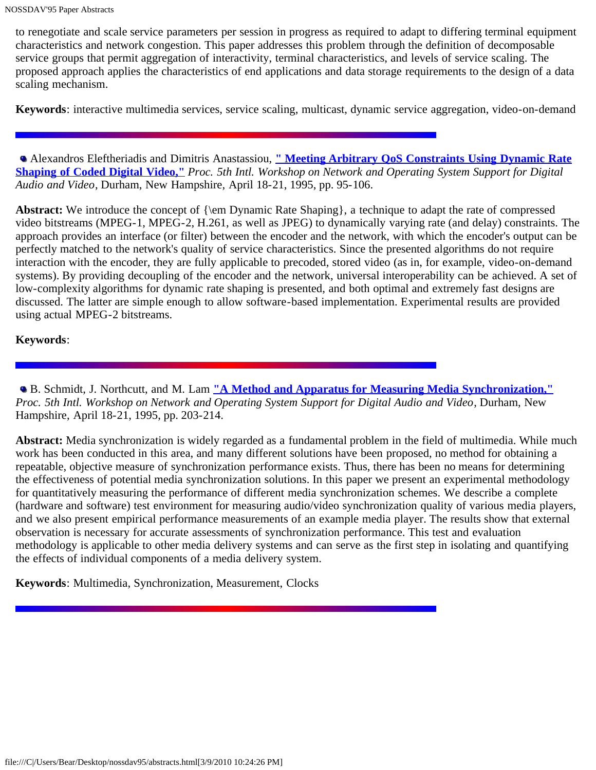to renegotiate and scale service parameters per session in progress as required to adapt to differing terminal equipment characteristics and network congestion. This paper addresses this problem through the definition of decomposable service groups that permit aggregation of interactivity, terminal characteristics, and levels of service scaling. The proposed approach applies the characteristics of end applications and data storage requirements to the design of a data scaling mechanism.

**Keywords**: interactive multimedia services, service scaling, multicast, dynamic service aggregation, video-on-demand

<span id="page-20-0"></span> Alexandros Eleftheriadis and Dimitris Anastassiou, **[" Meeting Arbitrary QoS Constraints Using Dynamic Rate](file:///C|/Users/Bear/Desktop/nossdav95/eleft.ps) [Shaping of Coded Digital Video,"](file:///C|/Users/Bear/Desktop/nossdav95/eleft.ps)** *Proc. 5th Intl. Workshop on Network and Operating System Support for Digital Audio and Video*, Durham, New Hampshire, April 18-21, 1995, pp. 95-106.

Abstract: We introduce the concept of  $\{\text{em Dynamic Rate Shapiro}\}\$ , a technique to adapt the rate of compressed video bitstreams (MPEG-1, MPEG-2, H.261, as well as JPEG) to dynamically varying rate (and delay) constraints. The approach provides an interface (or filter) between the encoder and the network, with which the encoder's output can be perfectly matched to the network's quality of service characteristics. Since the presented algorithms do not require interaction with the encoder, they are fully applicable to precoded, stored video (as in, for example, video-on-demand systems). By providing decoupling of the encoder and the network, universal interoperability can be achieved. A set of low-complexity algorithms for dynamic rate shaping is presented, and both optimal and extremely fast designs are discussed. The latter are simple enough to allow software-based implementation. Experimental results are provided using actual MPEG-2 bitstreams.

#### **Keywords**:

<span id="page-20-1"></span> B. Schmidt, J. Northcutt, and M. Lam **["A Method and Apparatus for Measuring Media Synchronization,"](file:///C|/Users/Bear/Desktop/nossdav95/brian_schmidt.ps)** *Proc. 5th Intl. Workshop on Network and Operating System Support for Digital Audio and Video*, Durham, New Hampshire, April 18-21, 1995, pp. 203-214.

**Abstract:** Media synchronization is widely regarded as a fundamental problem in the field of multimedia. While much work has been conducted in this area, and many different solutions have been proposed, no method for obtaining a repeatable, objective measure of synchronization performance exists. Thus, there has been no means for determining the effectiveness of potential media synchronization solutions. In this paper we present an experimental methodology for quantitatively measuring the performance of different media synchronization schemes. We describe a complete (hardware and software) test environment for measuring audio/video synchronization quality of various media players, and we also present empirical performance measurements of an example media player. The results show that external observation is necessary for accurate assessments of synchronization performance. This test and evaluation methodology is applicable to other media delivery systems and can serve as the first step in isolating and quantifying the effects of individual components of a media delivery system.

**Keywords**: Multimedia, Synchronization, Measurement, Clocks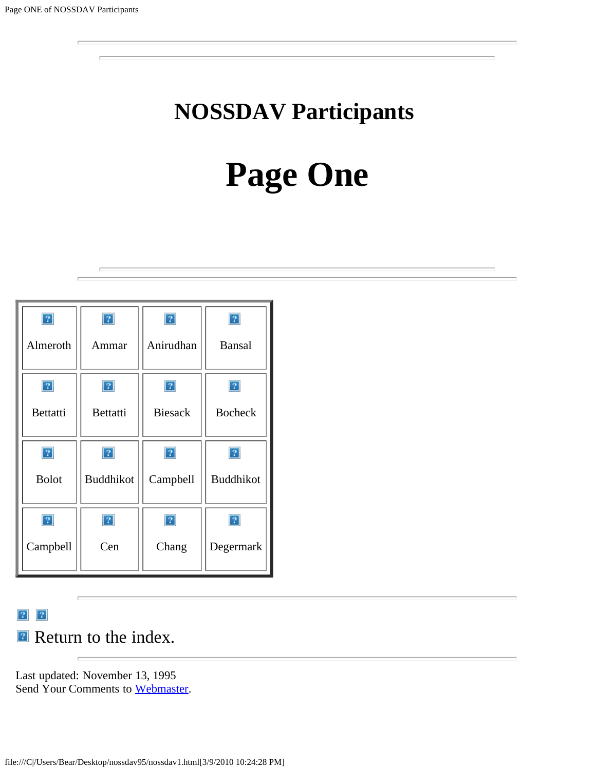# <span id="page-21-0"></span>**NOSSDAV Participants**

# **Page One**

and the control of the control of the control of

| $\mathbf{P}$     | $\overline{?}$   | $\, 2 \,$        | $\overline{?}$   |
|------------------|------------------|------------------|------------------|
| Almeroth         | Ammar            | Anirudhan        | <b>Bansal</b>    |
| $\boldsymbol{?}$ | $\overline{?}$   | $\boldsymbol{?}$ | $\overline{?}$   |
| <b>Bettatti</b>  | <b>Bettatti</b>  | <b>Biesack</b>   | <b>Bocheck</b>   |
| $\boldsymbol{?}$ | ?                | $\boldsymbol{?}$ | $ 2\rangle$      |
| <b>Bolot</b>     | <b>Buddhikot</b> | Campbell         | <b>Buddhikot</b> |
| $\mathbf{P}$     | $\overline{?}$   | $\overline{?}$   | $\boldsymbol{?}$ |
| Campbell         | Cen              | Chang            | Degermark        |

#### $\mathbf{P}$  $\mathbf{P}$ Return to the index.

 $\overline{a}$ 

Last updated: November 13, 1995 Send Your Comments to [Webmaster.](mailto:jntran@bu.edu)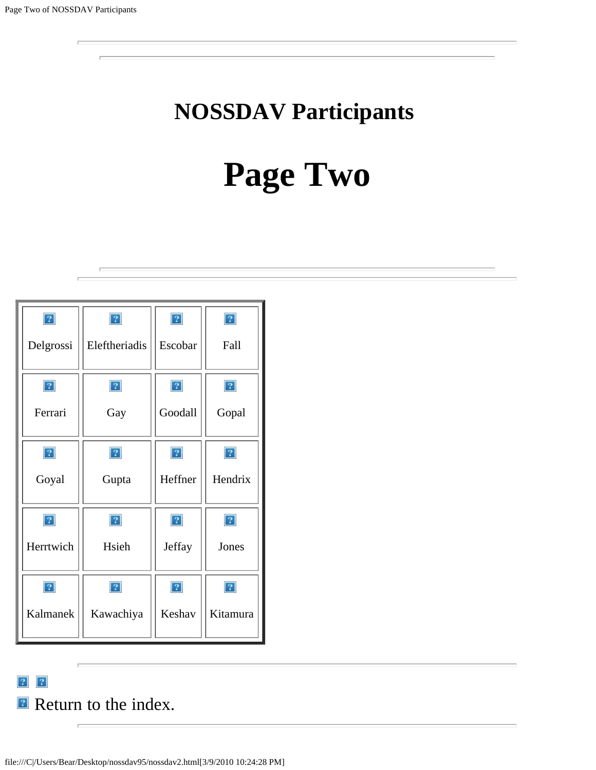# <span id="page-22-0"></span>**NOSSDAV Participants**

# **Page Two**



# $\overline{?}$ **R** Return to the index.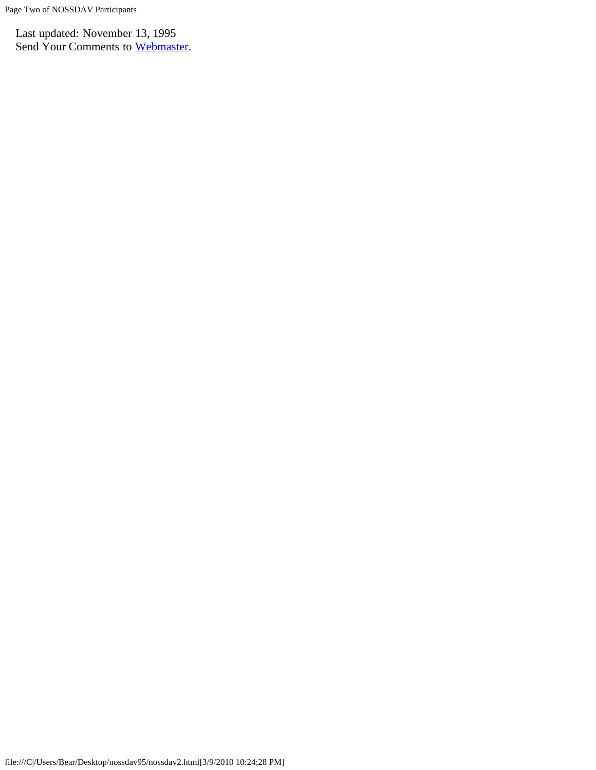Page Two of NOSSDAV Participants

Last updated: November 13, 1995 Send Your Comments to [Webmaster.](mailto:jntran@bu.edu)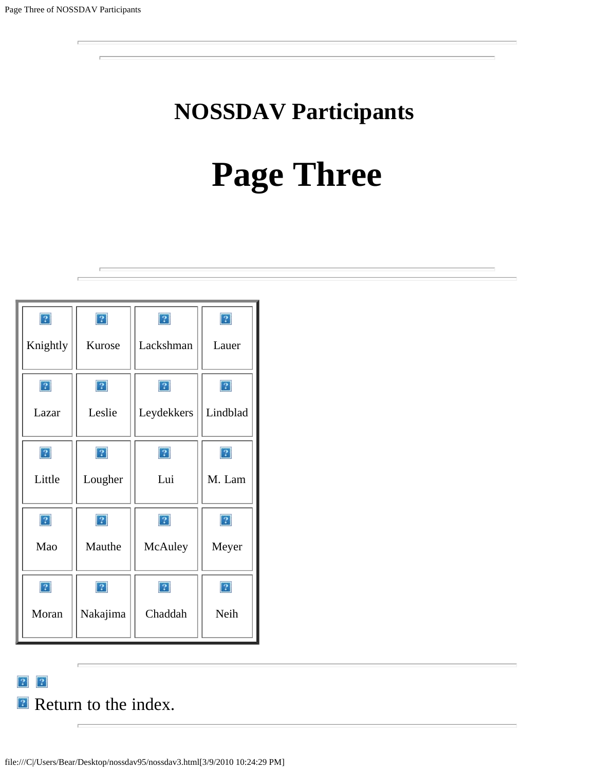# <span id="page-24-0"></span>**NOSSDAV Participants**

# **Page Three**

| 2                | 2                | $\mathbf{P}$     | $\overline{P}$   |
|------------------|------------------|------------------|------------------|
| Knightly         | Kurose           | Lackshman        | Lauer            |
| $\overline{?}$   | 2                | $\vert$ ?        | $\overline{?}$   |
| Lazar            | Leslie           | Leydekkers       | Lindblad         |
| $\boldsymbol{?}$ | $\overline{?}$   | $\overline{?}$   | $\overline{?}$   |
| Little           | Lougher          | Lui              | M. Lam           |
| $\boldsymbol{?}$ | $\boldsymbol{?}$ | $\boldsymbol{?}$ | $\boldsymbol{?}$ |
| Mao              | Mauthe           | McAuley          | Meyer            |
| $\overline{?}$   | $\overline{?}$   | 2                | $\overline{?}$   |
| Moran            | Nakajima         | Chaddah          | Neih             |

# $|2\rangle$ **R** Return to the index.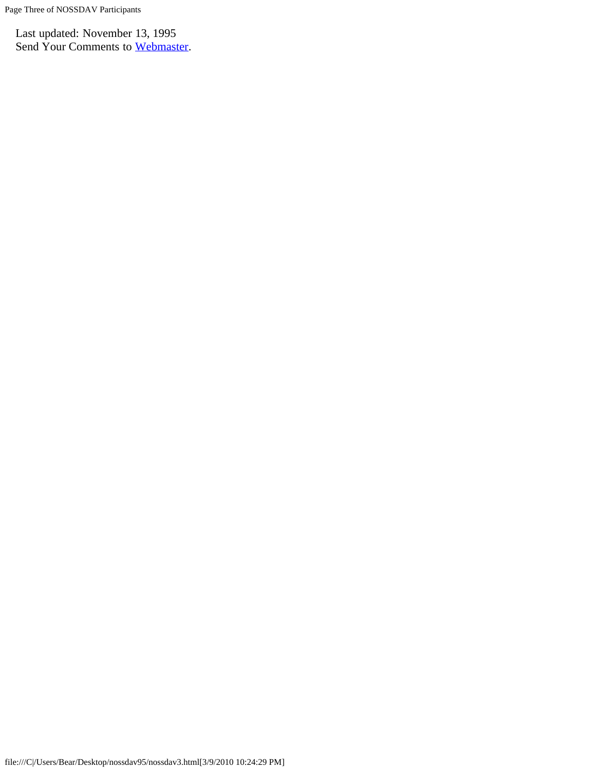Page Three of NOSSDAV Participants

Last updated: November 13, 1995 Send Your Comments to [Webmaster.](mailto:jntran@bu.edu)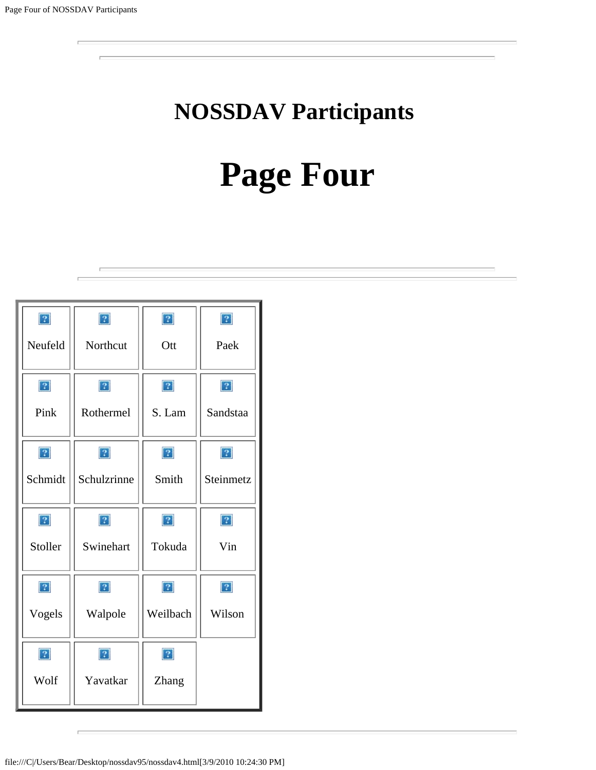# <span id="page-26-0"></span>**NOSSDAV Participants**

# **Page Four**